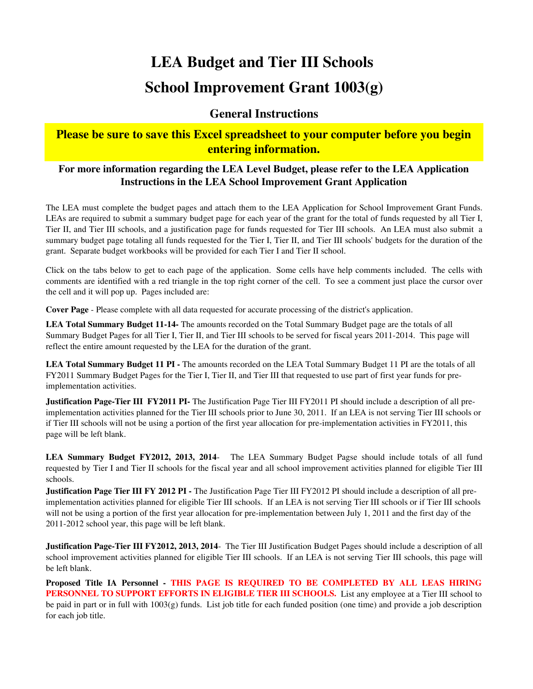# **LEA Budget and Tier III Schools School Improvement Grant 1003(g)**

#### **General Instructions**

#### **Please be sure to save this Excel spreadsheet to your computer before you begin entering information.**

#### **For more information regarding the LEA Level Budget, please refer to the LEA Application Instructions in the LEA School Improvement Grant Application**

The LEA must complete the budget pages and attach them to the LEA Application for School Improvement Grant Funds. LEAs are required to submit a summary budget page for each year of the grant for the total of funds requested by all Tier I, Tier II, and Tier III schools, and a justification page for funds requested for Tier III schools. An LEA must also submit a summary budget page totaling all funds requested for the Tier I, Tier II, and Tier III schools' budgets for the duration of the grant. Separate budget workbooks will be provided for each Tier I and Tier II school.

Click on the tabs below to get to each page of the application. Some cells have help comments included. The cells with comments are identified with a red triangle in the top right corner of the cell. To see a comment just place the cursor over the cell and it will pop up. Pages included are:

**Cover Page** - Please complete with all data requested for accurate processing of the district's application.

**LEA Total Summary Budget 11-14-** The amounts recorded on the Total Summary Budget page are the totals of all Summary Budget Pages for all Tier I, Tier II, and Tier III schools to be served for fiscal years 2011-2014. This page will reflect the entire amount requested by the LEA for the duration of the grant.

LEA Total Summary Budget 11 PI - The amounts recorded on the LEA Total Summary Budget 11 PI are the totals of all FY2011 Summary Budget Pages for the Tier I, Tier II, and Tier III that requested to use part of first year funds for preimplementation activities.

**Justification Page-Tier III FY2011 PI-** The Justification Page Tier III FY2011 PI should include a description of all preimplementation activities planned for the Tier III schools prior to June 30, 2011. If an LEA is not serving Tier III schools or if Tier III schools will not be using a portion of the first year allocation for pre-implementation activities in FY2011, this page will be left blank.

**LEA Summary Budget FY2012, 2013, 2014**- The LEA Summary Budget Pagse should include totals of all fund requested by Tier I and Tier II schools for the fiscal year and all school improvement activities planned for eligible Tier III schools.

**Justification Page Tier III FY 2012 PI -** The Justification Page Tier III FY 2012 PI should include a description of all preimplementation activities planned for eligible Tier III schools. If an LEA is not serving Tier III schools or if Tier III schools will not be using a portion of the first year allocation for pre-implementation between July 1, 2011 and the first day of the 2011-2012 school year, this page will be left blank.

**Justification Page-Tier III FY2012, 2013, 2014**- The Tier III Justification Budget Pages should include a description of all school improvement activities planned for eligible Tier III schools. If an LEA is not serving Tier III schools, this page will be left blank.

**Proposed Title IA Personnel - THIS PAGE IS REQUIRED TO BE COMPLETED BY ALL LEAS HIRING PERSONNEL TO SUPPORT EFFORTS IN ELIGIBLE TIER III SCHOOLS.** List any employee at a Tier III school to be paid in part or in full with 1003(g) funds. List job title for each funded position (one time) and provide a job description for each job title.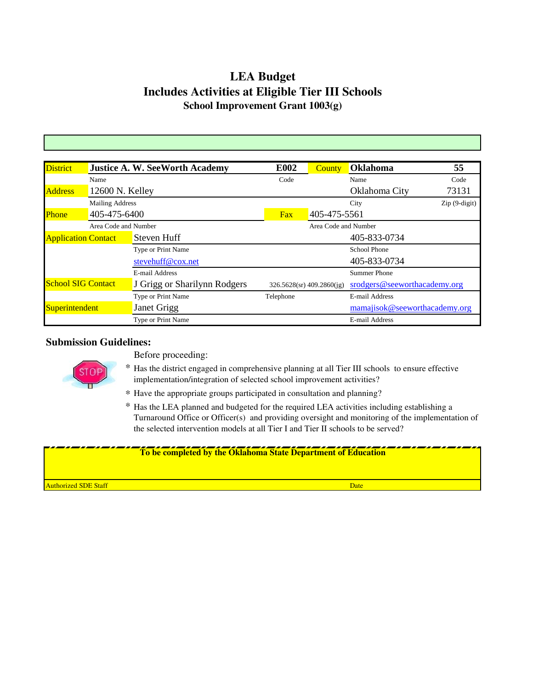## **LEA Budget Includes Activities at Eligible Tier III Schools School Improvement Grant 1003(g)**

| <b>District</b>                           |                        | <b>Justice A. W. SeeWorth Academy</b> | <b>E002</b> | <b>County</b>                   | <b>Oklahoma</b>               | 55             |
|-------------------------------------------|------------------------|---------------------------------------|-------------|---------------------------------|-------------------------------|----------------|
|                                           | Name                   |                                       | Code        |                                 | Name                          | Code           |
| <b>Address</b>                            | 12600 N. Kelley        |                                       |             |                                 | Oklahoma City                 | 73131          |
|                                           | <b>Mailing Address</b> |                                       |             |                                 | City                          | $Zip(9-digit)$ |
| Phone                                     | 405-475-6400           |                                       | <b>Fax</b>  | 405-475-5561                    |                               |                |
|                                           | Area Code and Number   |                                       |             | Area Code and Number            |                               |                |
| Steven Huff<br><b>Application Contact</b> |                        |                                       |             |                                 | 405-833-0734                  |                |
|                                           |                        | Type or Print Name                    |             |                                 | <b>School Phone</b>           |                |
|                                           |                        | stevehuff@cox.net                     |             |                                 | 405-833-0734                  |                |
|                                           |                        | E-mail Address                        |             |                                 | <b>Summer Phone</b>           |                |
| <b>School SIG Contact</b>                 |                        | J Grigg or Sharilynn Rodgers          |             | $326.5628$ (sr) $409.2860$ (jg) | srodgers@seeworthacademy.org  |                |
|                                           |                        | Type or Print Name                    | Telephone   |                                 | E-mail Address                |                |
| Superintendent                            |                        | Janet Grigg                           |             |                                 | mamajisok@seeworthacademy.org |                |
|                                           |                        | Type or Print Name                    |             |                                 | E-mail Address                |                |

#### **Submission Guidelines:**



- Before proceeding:
- \* Has the district engaged in comprehensive planning at all Tier III schools to ensure effective implementation/integration of selected school improvement activities?
- \* Have the appropriate groups participated in consultation and planning?
- \* Has the LEA planned and budgeted for the required LEA activities including establishing a Turnaround Office or Officer(s) and providing oversight and monitoring of the implementation of the selected intervention models at all Tier I and Tier II schools to be served?

#### **To be completed by the Oklahoma State Department of Education**

Authorized SDE Staff Date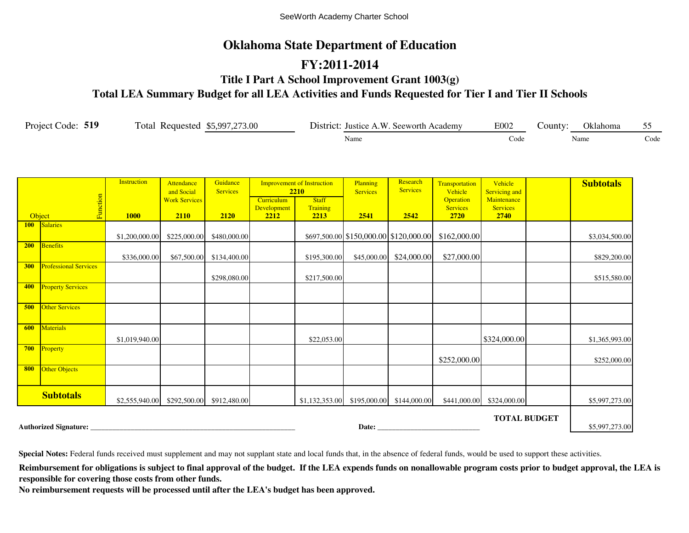#### **Oklahoma State Department of Education**

#### **FY:2011-2014**

**Title I Part A School Improvement Grant 1003(g)**

**Total LEA Summary Budget for all LEA Activities and Funds Requested for Tier I and Tier II Schools**

| Project Code: 519 | Total Requested \$5,997,273.00 | District: Justice A.W. Seeworth Academy | E002 | County: | <b>Oklahoma</b> |      |
|-------------------|--------------------------------|-----------------------------------------|------|---------|-----------------|------|
|                   |                                | Name                                    | Code |         | Name            | Code |

|            |                              | <b>Instruction</b>                       | Attendance<br>and Social | Guidance<br><b>Services</b> |                     | <b>Improvement of Instruction</b><br>2210   | Planning<br><b>Services</b> | Research<br><b>Services</b>            | Transportation<br>Vehicle    | Vehicle<br>Servicing and       | <b>Subtotals</b> |
|------------|------------------------------|------------------------------------------|--------------------------|-----------------------------|---------------------|---------------------------------------------|-----------------------------|----------------------------------------|------------------------------|--------------------------------|------------------|
|            | Function                     |                                          | <b>Work Services</b>     |                             | Curriculum          | <b>Staff</b>                                |                             |                                        | Operation<br><b>Services</b> | Maintenance<br><b>Services</b> |                  |
|            | Object                       | <b>1000</b>                              | 2110                     | 2120                        | Development<br>2212 | Training<br>2213                            | 2541                        | 2542                                   | 2720                         | 2740                           |                  |
| <b>100</b> | Salaries                     |                                          |                          |                             |                     |                                             |                             |                                        |                              |                                |                  |
|            |                              | \$1,200,000.00                           | \$225,000.00             | \$480,000.00                |                     |                                             |                             | \$697,500.00 \$150,000.00 \$120,000.00 | \$162,000.00                 |                                | \$3,034,500.00   |
| <b>200</b> | Benefits                     |                                          |                          |                             |                     |                                             |                             |                                        |                              |                                |                  |
| 300        | <b>Professional Services</b> | \$336,000.00                             | \$67,500.00              | \$134,400.00                |                     | \$195,300.00                                |                             | \$45,000.00 \$24,000.00                | \$27,000.00                  |                                | \$829,200.00     |
|            |                              |                                          |                          | \$298,080.00                |                     | \$217,500.00                                |                             |                                        |                              |                                | \$515,580.00     |
| 400        | <b>Property Services</b>     |                                          |                          |                             |                     |                                             |                             |                                        |                              |                                |                  |
| 500        | <b>Other Services</b>        |                                          |                          |                             |                     |                                             |                             |                                        |                              |                                |                  |
| 600        | Materials                    | \$1,019,940.00                           |                          |                             |                     | \$22,053.00                                 |                             |                                        |                              | \$324,000.00                   | \$1,365,993.00   |
| 700        | Property                     |                                          |                          |                             |                     |                                             |                             |                                        | \$252,000.00                 |                                | \$252,000.00     |
| 800        | Other Objects                |                                          |                          |                             |                     |                                             |                             |                                        |                              |                                |                  |
|            | <b>Subtotals</b>             | \$2,555,940.00 \$292,500.00 \$912,480.00 |                          |                             |                     | $$1,132,353.00$ $$195,000.00$ $$144,000.00$ |                             |                                        | \$441,000.00                 | \$324,000.00                   | \$5,997,273.00   |
|            |                              |                                          |                          |                             |                     |                                             |                             |                                        |                              | <b>TOTAL BUDGET</b>            |                  |
|            | <b>Authorized Signature:</b> |                                          |                          |                             |                     |                                             | Date:                       |                                        |                              |                                | \$5,997,273.00   |

**Special Notes:** Federal funds received must supplement and may not supplant state and local funds that, in the absence of federal funds, would be used to support these activities.

Reimbursement for obligations is subject to final approval of the budget. If the LEA expends funds on nonallowable program costs prior to budget approval, the LEA is **responsible for covering those costs from other funds.**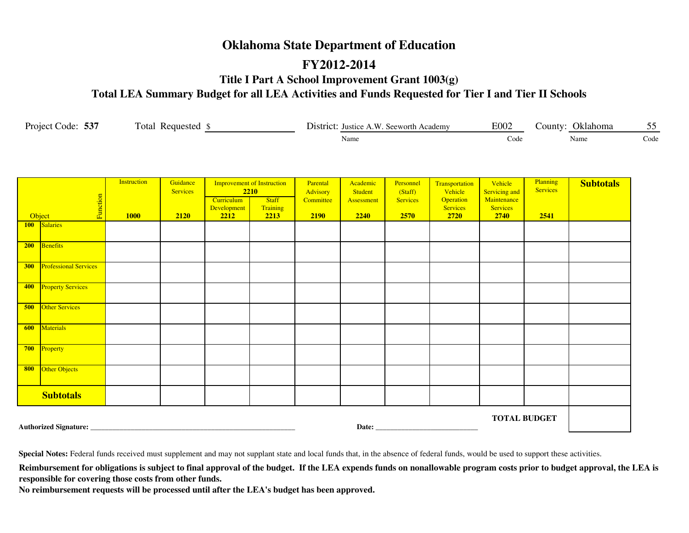#### **Oklahoma State Department of Education**

#### **FY2012-2014**

**Title I Part A School Improvement Grant 1003(g)**

**Total LEA Summary Budget for all LEA Activities and Funds Requested for Tier I and Tier II Schools**

| Project Code: 537 | Total<br>Requested | District: Justice A.W. Seeworth Academy | E002 | Oklahoma<br>.`ountv: | - -  |
|-------------------|--------------------|-----------------------------------------|------|----------------------|------|
|                   |                    | Name                                    | Code | Name                 | Code |

|            | Function<br>Object           | Instruction<br><b>1000</b> | Guidance<br><b>Services</b><br>2120 | 2210<br>Curriculum<br>Development<br>2212 | <b>Improvement of Instruction</b><br><b>Staff</b><br>Training<br>2213 | Parental<br>Advisory<br>Committee<br><b>2190</b> | Academic<br>Student<br>Assessment<br>2240 | Personnel<br>(Staff)<br>Services<br>2570 | Transportation<br>Vehicle<br>Operation<br><b>Services</b><br>2720 | Vehicle<br>Servicing and<br>Maintenance<br><b>Services</b><br>2740 | Planning<br><b>Services</b><br>2541 | <b>Subtotals</b> |
|------------|------------------------------|----------------------------|-------------------------------------|-------------------------------------------|-----------------------------------------------------------------------|--------------------------------------------------|-------------------------------------------|------------------------------------------|-------------------------------------------------------------------|--------------------------------------------------------------------|-------------------------------------|------------------|
|            | 100 Salaries                 |                            |                                     |                                           |                                                                       |                                                  |                                           |                                          |                                                                   |                                                                    |                                     |                  |
| 200        | Benefits                     |                            |                                     |                                           |                                                                       |                                                  |                                           |                                          |                                                                   |                                                                    |                                     |                  |
| <b>300</b> | <b>Professional Services</b> |                            |                                     |                                           |                                                                       |                                                  |                                           |                                          |                                                                   |                                                                    |                                     |                  |
| 400        | <b>Property Services</b>     |                            |                                     |                                           |                                                                       |                                                  |                                           |                                          |                                                                   |                                                                    |                                     |                  |
| 500        | <b>Other Services</b>        |                            |                                     |                                           |                                                                       |                                                  |                                           |                                          |                                                                   |                                                                    |                                     |                  |
| 600        | Materials                    |                            |                                     |                                           |                                                                       |                                                  |                                           |                                          |                                                                   |                                                                    |                                     |                  |
| 700        | Property                     |                            |                                     |                                           |                                                                       |                                                  |                                           |                                          |                                                                   |                                                                    |                                     |                  |
| 800        | Other Objects                |                            |                                     |                                           |                                                                       |                                                  |                                           |                                          |                                                                   |                                                                    |                                     |                  |
|            | <b>Subtotals</b>             |                            |                                     |                                           |                                                                       |                                                  |                                           |                                          |                                                                   |                                                                    |                                     |                  |
|            |                              |                            |                                     |                                           |                                                                       |                                                  |                                           | Date: No. 1996                           |                                                                   |                                                                    | <b>TOTAL BUDGET</b>                 |                  |

**Special Notes:** Federal funds received must supplement and may not supplant state and local funds that, in the absence of federal funds, would be used to support these activities.

Reimbursement for obligations is subject to final approval of the budget. If the LEA expends funds on nonallowable program costs prior to budget approval, the LEA is **responsible for covering those costs from other funds.**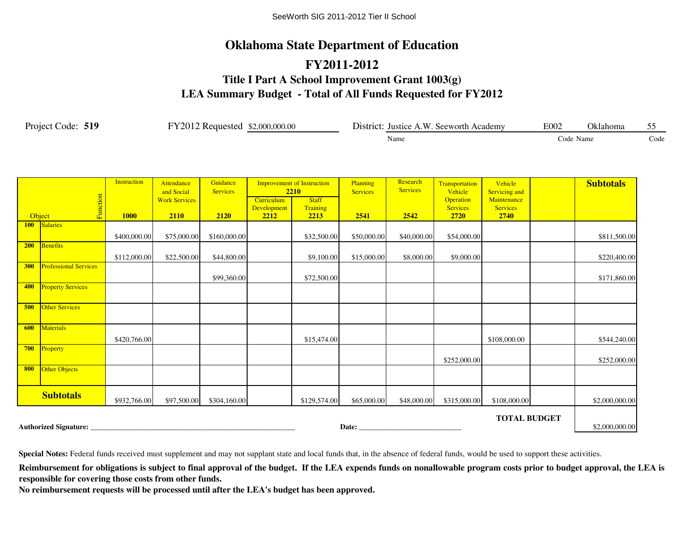# **LEA Summary Budget - Total of All Funds Requested for FY2012 Oklahoma State Department of Education Title I Part A School Improvement Grant 1003(g) FY2011-2012**

| Project Code: 519<br>FY2012 Requested \$2,000,000.00 |                              |                    |                                 |                             |                                   |                                           | District: Justice A.W. Seeworth Academy | E002                        | Oklahoma                             | 55                                     |           |                  |      |
|------------------------------------------------------|------------------------------|--------------------|---------------------------------|-----------------------------|-----------------------------------|-------------------------------------------|-----------------------------------------|-----------------------------|--------------------------------------|----------------------------------------|-----------|------------------|------|
|                                                      |                              |                    |                                 |                             |                                   |                                           |                                         | Name                        |                                      |                                        | Code Name |                  | Code |
|                                                      |                              | <b>Instruction</b> | <b>Attendance</b><br>and Social | Guidance<br><b>Services</b> |                                   | <b>Improvement of Instruction</b><br>2210 | Planning<br><b>Services</b>             | Research<br><b>Services</b> | Transportation<br>Vehicle            | Vehicle<br>Servicing and               |           | <b>Subtotals</b> |      |
|                                                      | Function<br>Object           | <b>1000</b>        | <b>Work Services</b><br>2110    | 2120                        | Curriculum<br>Development<br>2212 | <b>Staff</b><br>Training<br>2213          | 2541                                    | 2542                        | Operation<br><b>Services</b><br>2720 | Maintenance<br><b>Services</b><br>2740 |           |                  |      |
|                                                      | 100 Salaries                 | \$400,000.00       | \$75,000.00                     | \$160,000.00                |                                   | \$32,500.00                               | \$50,000.00                             | \$40,000.00                 | \$54,000.00                          |                                        |           | \$811,500.00     |      |
| 200                                                  | Benefits                     | \$112,000.00       | \$22,500.00                     | \$44,800.00                 |                                   | \$9,100.00                                | \$15,000.00                             | \$8,000.00                  | \$9,000.00                           |                                        |           | \$220,400.00     |      |
| 300                                                  | <b>Professional Services</b> |                    |                                 | \$99,360.00                 |                                   | \$72,500.00                               |                                         |                             |                                      |                                        |           | \$171,860.00     |      |
| 400                                                  | <b>Property Services</b>     |                    |                                 |                             |                                   |                                           |                                         |                             |                                      |                                        |           |                  |      |
| 500                                                  | <b>Other Services</b>        |                    |                                 |                             |                                   |                                           |                                         |                             |                                      |                                        |           |                  |      |
| 600                                                  | <b>Materials</b>             | \$420,766.00       |                                 |                             |                                   | \$15,474.00                               |                                         |                             |                                      | \$108,000.00                           |           | \$544,240.00     |      |
| 700                                                  | Property                     |                    |                                 |                             |                                   |                                           |                                         |                             | \$252,000.00                         |                                        |           | \$252,000.00     |      |
| 800                                                  | Other Objects                |                    |                                 |                             |                                   |                                           |                                         |                             |                                      |                                        |           |                  |      |
|                                                      | <b>Subtotals</b>             | \$932,766.00       | \$97,500.00                     | \$304,160.00                |                                   | \$129,574.00                              | \$65,000.00                             | \$48,000.00                 | \$315,000.00                         | \$108,000.00                           |           | \$2,000,000.00   |      |
|                                                      |                              |                    |                                 |                             |                                   |                                           | Date: <u>Date:</u>                      |                             |                                      | <b>TOTAL BUDGET</b>                    |           | \$2,000,000.00   |      |

**Special Notes:** Federal funds received must supplement and may not supplant state and local funds that, in the absence of federal funds, would be used to support these activities.

Reimbursement for obligations is subject to final approval of the budget. If the LEA expends funds on nonallowable program costs prior to budget approval, the LEA is **responsible for covering those costs from other funds.**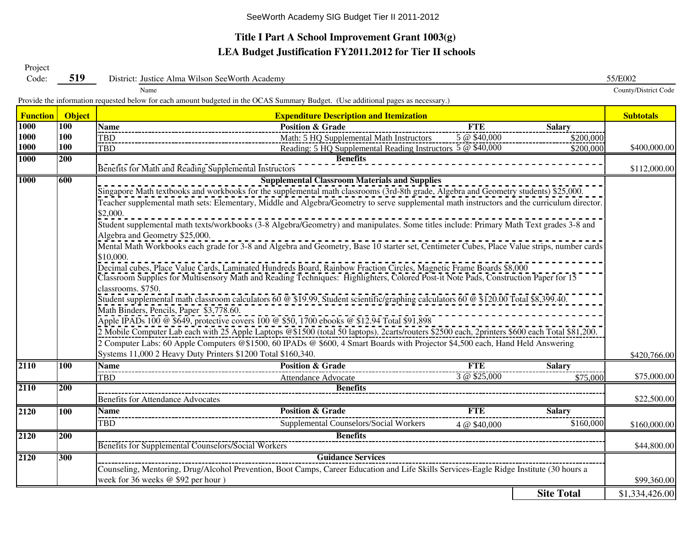## **LEA Budget Justification FY2011.2012 for Tier II schools Title I Part A School Improvement Grant 1003(g)**

Project

| Code:           | 519           | District: Justice Alma Wilson SeeWorth Academy                                                                                                | 55/E002              |  |  |  |  |  |  |  |  |
|-----------------|---------------|-----------------------------------------------------------------------------------------------------------------------------------------------|----------------------|--|--|--|--|--|--|--|--|
|                 |               | Name                                                                                                                                          | County/District Code |  |  |  |  |  |  |  |  |
|                 |               | Provide the information requested below for each amount budgeted in the OCAS Summary Budget. (Use additional pages as necessary.)             |                      |  |  |  |  |  |  |  |  |
| <b>Function</b> | <b>Object</b> | <b>Expenditure Description and Itemization</b>                                                                                                | <b>Subtotals</b>     |  |  |  |  |  |  |  |  |
| <b>1000</b>     | <b>100</b>    | <b>Position &amp; Grade</b><br><b>Name</b><br><b>FTE</b><br><b>Salary</b>                                                                     |                      |  |  |  |  |  |  |  |  |
| 1000            | 100           | TBD_<br>Math: 5 HQ Supplemental Math Instructors<br>5 @ \$40,000<br>\$200,000                                                                 |                      |  |  |  |  |  |  |  |  |
| 1000            | 100           | Reading: 5 HQ Supplemental Reading Instructors 5 @ \$40,000<br><b>TBD</b><br>\$200,000                                                        | \$400,000.00         |  |  |  |  |  |  |  |  |
| <b>1000</b>     | 200           | <b>Benefits</b>                                                                                                                               |                      |  |  |  |  |  |  |  |  |
|                 |               | Benefits for Math and Reading Supplemental Instructors                                                                                        | \$112,000.00         |  |  |  |  |  |  |  |  |
| <b>1000</b>     | 600           | <b>Supplemental Classroom Materials and Supplies</b>                                                                                          |                      |  |  |  |  |  |  |  |  |
|                 |               | Singapore Math textbooks and workbooks for the supplemental math classrooms (3rd-8th grade, Algebra and Geometry students) \$25,000.          |                      |  |  |  |  |  |  |  |  |
|                 |               | Teacher supplemental math sets: Elementary, Middle and Algebra/Geometry to serve supplemental math instructors and the curriculum director.   |                      |  |  |  |  |  |  |  |  |
|                 |               | \$2,000.                                                                                                                                      |                      |  |  |  |  |  |  |  |  |
|                 |               | Student supplemental math texts/workbooks (3-8 Algebra/Geometry) and manipulates. Some titles include: Primary Math Text grades 3-8 and       |                      |  |  |  |  |  |  |  |  |
|                 |               | Algebra and Geometry \$25,000.                                                                                                                |                      |  |  |  |  |  |  |  |  |
|                 |               | Mental Math Workbooks each grade for 3-8 and Algebra and Geometry, Base 10 starter set, Centimeter Cubes, Place Value strips, number cards    |                      |  |  |  |  |  |  |  |  |
|                 |               | \$10,000.                                                                                                                                     |                      |  |  |  |  |  |  |  |  |
|                 |               | Decimal cubes, Place Value Cards, Laminated Hundreds Board, Rainbow Fraction Circles, Magnetic Frame Boards \$8,000                           |                      |  |  |  |  |  |  |  |  |
|                 |               | Classroom Supplies for Multisensory Math and Reading Techniques: Highlighters, Colored Post-it Note Pads, Construction Paper for 15           |                      |  |  |  |  |  |  |  |  |
|                 |               | classrooms. \$750.                                                                                                                            |                      |  |  |  |  |  |  |  |  |
|                 |               | Student supplemental math classroom calculators 60 @ \$19.99, Student scientific/graphing calculators 60 @ \$120.00 Total \$8,399.40.         |                      |  |  |  |  |  |  |  |  |
|                 |               | Math Binders, Pencils, Paper \$3,778.60.                                                                                                      |                      |  |  |  |  |  |  |  |  |
|                 |               | Apple IPADs 100 @ \$649, protective covers 100 @ \$50, 1700 ebooks @ \$12.94 Total \$91,898                                                   |                      |  |  |  |  |  |  |  |  |
|                 |               | 2 Mobile Computer Lab each with 25 Apple Laptops @\$1500 (total 50 laptops). 2carts/routers \$2500 each, 2printers \$600 each Total \$81,200. |                      |  |  |  |  |  |  |  |  |
|                 |               | 2 Computer Labs: 60 Apple Computers @\$1500, 60 IPADs @ \$600, 4 Smart Boards with Projector \$4,500 each, Hand Held Answering                |                      |  |  |  |  |  |  |  |  |
|                 |               | Systems 11,000 2 Heavy Duty Printers \$1200 Total \$160,340.                                                                                  | \$420,766.00         |  |  |  |  |  |  |  |  |
| 2110            | 100           | <b>Position &amp; Grade</b><br><b>FTE</b><br><b>Name</b><br><b>Salary</b>                                                                     |                      |  |  |  |  |  |  |  |  |
|                 |               | 3 @ \$25,000<br><b>TBD</b><br>Attendance Advocate<br>\$75,000                                                                                 | \$75,000.00          |  |  |  |  |  |  |  |  |
| 2110            | 200           | <b>Benefits</b>                                                                                                                               |                      |  |  |  |  |  |  |  |  |
|                 |               | <b>Benefits for Attendance Advocates</b>                                                                                                      | \$22,500.00          |  |  |  |  |  |  |  |  |
| 2120            | 100           | <b>Position &amp; Grade</b><br><b>FTE</b><br><b>Name</b><br><b>Salary</b>                                                                     |                      |  |  |  |  |  |  |  |  |
|                 |               | TBD<br>Supplemental Counselors/Social Workers<br>\$160,000<br>4 @ \$40,000                                                                    | \$160,000.00         |  |  |  |  |  |  |  |  |
| 2120            | 200           | <b>Benefits</b>                                                                                                                               |                      |  |  |  |  |  |  |  |  |
|                 |               | Benefits for Supplemental Counselors/Social Workers                                                                                           | \$44,800.00          |  |  |  |  |  |  |  |  |
| 2120            | 300           | <b>Guidance Services</b>                                                                                                                      |                      |  |  |  |  |  |  |  |  |
|                 |               | Counseling, Mentoring, Drug/Alcohol Prevention, Boot Camps, Career Education and Life Skills Services-Eagle Ridge Institute (30 hours a       |                      |  |  |  |  |  |  |  |  |
|                 |               | week for 36 weeks @ \$92 per hour)                                                                                                            | \$99,360.00          |  |  |  |  |  |  |  |  |
|                 |               | <b>Site Total</b>                                                                                                                             | \$1,334,426.00       |  |  |  |  |  |  |  |  |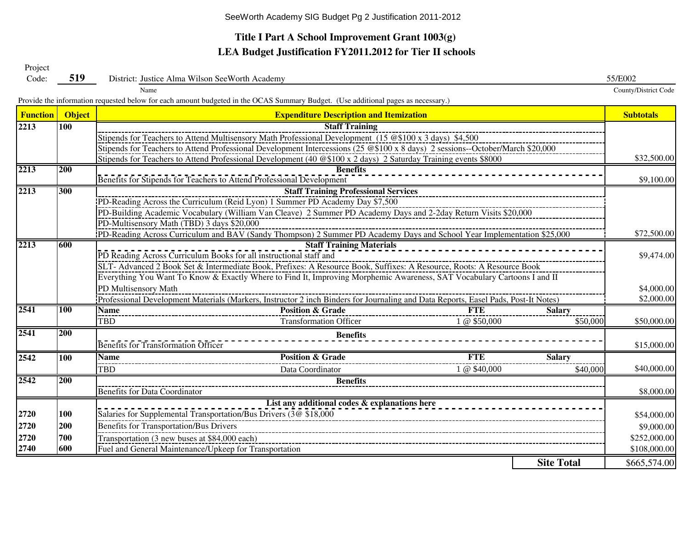## **Title I Part A School Improvement Grant 1003(g) LEA Budget Justification FY2011.2012 for Tier II schools**

Project

| Code:           | 519                                                                                                                                             | District: Justice Alma Wilson SeeWorth Academy                                                                                                   |                   | 55/E002                  |  |  |  |  |  |  |  |  |  |
|-----------------|-------------------------------------------------------------------------------------------------------------------------------------------------|--------------------------------------------------------------------------------------------------------------------------------------------------|-------------------|--------------------------|--|--|--|--|--|--|--|--|--|
|                 |                                                                                                                                                 | Name                                                                                                                                             |                   | County/District Code     |  |  |  |  |  |  |  |  |  |
|                 |                                                                                                                                                 | Provide the information requested below for each amount budgeted in the OCAS Summary Budget. (Use additional pages as necessary.)                |                   |                          |  |  |  |  |  |  |  |  |  |
| <b>Function</b> | <b>Object</b>                                                                                                                                   | <b>Expenditure Description and Itemization</b>                                                                                                   |                   | <b>Subtotals</b>         |  |  |  |  |  |  |  |  |  |
| 2213            | 100                                                                                                                                             | <b>Staff Training</b>                                                                                                                            |                   |                          |  |  |  |  |  |  |  |  |  |
|                 |                                                                                                                                                 | Stipends for Teachers to Attend Multisensory Math Professional Development (15 @\$100 x 3 days) \$4,500                                          |                   |                          |  |  |  |  |  |  |  |  |  |
|                 |                                                                                                                                                 | Stipends for Teachers to Attend Professional Development Intercessions (25 @\$100 x 8 days) 2 sessions--October/March \$20,000                   |                   |                          |  |  |  |  |  |  |  |  |  |
|                 |                                                                                                                                                 | Stipends for Teachers to Attend Professional Development (40 @\$100 x 2 days) 2 Saturday Training events \$8000                                  |                   | \$32,500.00              |  |  |  |  |  |  |  |  |  |
| 2213            | 200                                                                                                                                             | <b>Benefits</b>                                                                                                                                  |                   |                          |  |  |  |  |  |  |  |  |  |
|                 |                                                                                                                                                 | Benefits for Stipends for Teachers to Attend Professional Development                                                                            |                   | \$9,100.00               |  |  |  |  |  |  |  |  |  |
| 2213            | 300                                                                                                                                             | <b>Staff Training Professional Services</b>                                                                                                      |                   |                          |  |  |  |  |  |  |  |  |  |
|                 |                                                                                                                                                 | PD-Reading Across the Curriculum (Reid Lyon) 1 Summer PD Academy Day \$7,500                                                                     |                   |                          |  |  |  |  |  |  |  |  |  |
|                 |                                                                                                                                                 | PD-Building Academic Vocabulary (William Van Cleave) 2 Summer PD Academy Days and 2-2day Return Visits \$20,000                                  |                   |                          |  |  |  |  |  |  |  |  |  |
|                 |                                                                                                                                                 | PD-Multisensory Math (TBD) 3 days \$20,000                                                                                                       |                   |                          |  |  |  |  |  |  |  |  |  |
|                 |                                                                                                                                                 | PD-Reading Across Curriculum and BAV (Sandy Thompson) 2 Summer PD Academy Days and School Year Implementation \$25,000                           |                   | \$72,500.00              |  |  |  |  |  |  |  |  |  |
| 2213            | 600                                                                                                                                             | <b>Staff Training Materials</b>                                                                                                                  |                   |                          |  |  |  |  |  |  |  |  |  |
|                 |                                                                                                                                                 | PD Reading Across Curriculum Books for all instructional staff and                                                                               |                   | \$9,474.00               |  |  |  |  |  |  |  |  |  |
|                 |                                                                                                                                                 | SLT- Advanced 2 Book Set & Intermediate Book, Prefixes: A Resource Book, Suffixes: A Resource, Roots: A Resource Book                            |                   |                          |  |  |  |  |  |  |  |  |  |
|                 | Everything You Want To Know & Exactly Where to Find It, Improving Morphemic Awareness, SAT Vocabulary Cartoons I and II<br>PD Multisensory Math |                                                                                                                                                  |                   |                          |  |  |  |  |  |  |  |  |  |
|                 |                                                                                                                                                 |                                                                                                                                                  |                   | \$4,000.00<br>\$2,000.00 |  |  |  |  |  |  |  |  |  |
| 2541            | <b>100</b>                                                                                                                                      | Professional Development Materials (Markers, Instructor 2 inch Binders for Journaling and Data Reports, Easel Pads, Post-It Notes)<br><b>FTE</b> |                   |                          |  |  |  |  |  |  |  |  |  |
|                 |                                                                                                                                                 | <b>Name</b><br><b>Position &amp; Grade</b><br><b>TBD</b>                                                                                         | <b>Salarv</b>     |                          |  |  |  |  |  |  |  |  |  |
|                 |                                                                                                                                                 | <b>Transformation Officer</b><br>1 @ \$50,000                                                                                                    | \$50,000          | \$50,000.00              |  |  |  |  |  |  |  |  |  |
| 2541            | 200                                                                                                                                             | <b>Benefits</b>                                                                                                                                  |                   |                          |  |  |  |  |  |  |  |  |  |
|                 |                                                                                                                                                 | <b>Benefits for Transformation Officer</b>                                                                                                       |                   | \$15,000.00              |  |  |  |  |  |  |  |  |  |
| 2542            | 100                                                                                                                                             | <b>Position &amp; Grade</b><br><b>FTE</b><br><b>Name</b>                                                                                         | <b>Salary</b>     |                          |  |  |  |  |  |  |  |  |  |
|                 |                                                                                                                                                 | 1 @ \$40,000<br><b>TBD</b><br>Data Coordinator                                                                                                   | \$40,000          | \$40,000.00              |  |  |  |  |  |  |  |  |  |
| 2542            | 200                                                                                                                                             | <b>Benefits</b>                                                                                                                                  |                   |                          |  |  |  |  |  |  |  |  |  |
|                 |                                                                                                                                                 | <b>Benefits for Data Coordinator</b>                                                                                                             |                   | \$8,000.00               |  |  |  |  |  |  |  |  |  |
|                 |                                                                                                                                                 | List any additional codes & explanations here                                                                                                    |                   |                          |  |  |  |  |  |  |  |  |  |
| 2720            | 100                                                                                                                                             | Salaries for Supplemental Transportation/Bus Drivers (3@ \$18,000                                                                                |                   | \$54,000.00              |  |  |  |  |  |  |  |  |  |
| 2720            | 200                                                                                                                                             | Benefits for Transportation/Bus Drivers                                                                                                          |                   | \$9,000.00               |  |  |  |  |  |  |  |  |  |
| 2720            | 700                                                                                                                                             | Transportation (3 new buses at \$84,000 each)                                                                                                    |                   | \$252,000.00             |  |  |  |  |  |  |  |  |  |
| 2740            | 600                                                                                                                                             | Fuel and General Maintenance/Upkeep for Transportation                                                                                           |                   | \$108,000.00             |  |  |  |  |  |  |  |  |  |
|                 |                                                                                                                                                 |                                                                                                                                                  | <b>Site Total</b> | \$665,574.00             |  |  |  |  |  |  |  |  |  |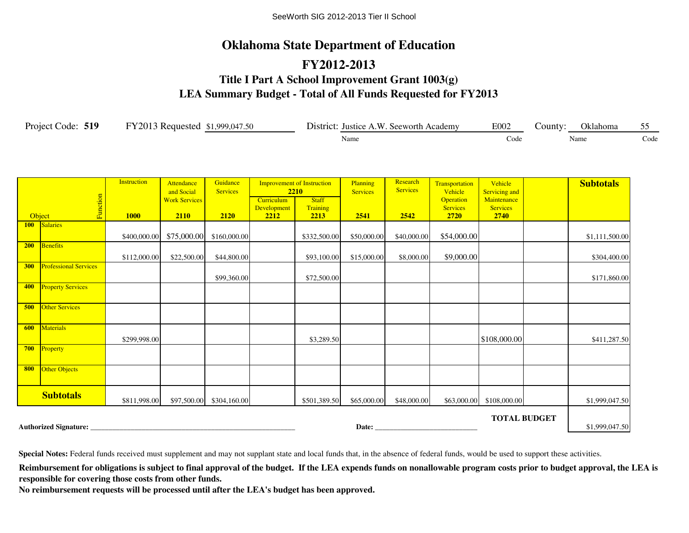# **Oklahoma State Department of Education FY2012-2013 Title I Part A School Improvement Grant 1003(g) LEA Summary Budget - Total of All Funds Requested for FY2013**

| Project Code: 519 |                    | FY2013 Requested \$1,999,047.50                  |                             |                                  |                                                                              | District: Justice A.W. Seeworth Academy |                             |                                                                  | E002                                                | County: | Oklahoma         | 55   |
|-------------------|--------------------|--------------------------------------------------|-----------------------------|----------------------------------|------------------------------------------------------------------------------|-----------------------------------------|-----------------------------|------------------------------------------------------------------|-----------------------------------------------------|---------|------------------|------|
|                   |                    |                                                  |                             |                                  |                                                                              | Name                                    |                             |                                                                  |                                                     |         | Name             | Code |
| tion              | <b>Instruction</b> | Attendance<br>and Social<br><b>Work Services</b> | Guidance<br><b>Services</b> | Curriculum<br><b>Davalopment</b> | <b>Improvement of Instruction</b><br><b>2210</b><br><b>Staff</b><br>Training | Planning<br><b>Services</b>             | Research<br><b>Services</b> | <b>Transportation</b><br>Vehicle<br><b>Operation</b><br>Carvigge | Vehicle<br>Servicing and<br>Maintenance<br>Carvicso |         | <b>Subtotals</b> |      |

|     | Function                     |              | <b>Work Services</b> |                          | Curriculum                 | <b>Staff</b>     |             |             | <b>Operation</b>        | Maintenance              |                     |                |
|-----|------------------------------|--------------|----------------------|--------------------------|----------------------------|------------------|-------------|-------------|-------------------------|--------------------------|---------------------|----------------|
|     | Object                       | <b>1000</b>  | 2110                 | 2120                     | <b>Development</b><br>2212 | Training<br>2213 | 2541        | 2542        | <b>Services</b><br>2720 | <b>Services</b><br>2740  |                     |                |
|     | 100 Salaries                 |              |                      |                          |                            |                  |             |             |                         |                          |                     |                |
|     |                              | \$400,000.00 | \$75,000.00          | \$160,000.00             |                            | \$332,500.00     | \$50,000.00 | \$40,000.00 | \$54,000.00             |                          |                     | \$1,111,500.00 |
| 200 | Benefits                     |              |                      |                          |                            |                  |             |             |                         |                          |                     |                |
|     |                              | \$112,000.00 | \$22,500.00          | \$44,800.00              |                            | \$93,100.00      | \$15,000.00 | \$8,000.00  | \$9,000.00              |                          |                     | \$304,400.00   |
| 300 | <b>Professional Services</b> |              |                      |                          |                            |                  |             |             |                         |                          |                     |                |
|     |                              |              |                      | \$99,360.00              |                            | \$72,500.00      |             |             |                         |                          |                     | \$171,860.00   |
| 400 | <b>Property Services</b>     |              |                      |                          |                            |                  |             |             |                         |                          |                     |                |
| 500 | Other Services               |              |                      |                          |                            |                  |             |             |                         |                          |                     |                |
| 600 | Materials                    | \$299,998.00 |                      |                          |                            | \$3,289.50       |             |             |                         | \$108,000.00             |                     | \$411,287.50   |
| 700 | Property                     |              |                      |                          |                            |                  |             |             |                         |                          |                     |                |
| 800 | Other Objects                |              |                      |                          |                            |                  |             |             |                         |                          |                     |                |
|     | <b>Subtotals</b>             | \$811,998.00 |                      | \$97,500.00 \$304,160.00 |                            | \$501,389.50     | \$65,000.00 | \$48,000.00 |                         | \$63,000.00 \$108,000.00 |                     | \$1,999,047.50 |
|     |                              |              |                      |                          |                            |                  |             |             |                         |                          | <b>TOTAL BUDGET</b> |                |
|     | <b>Authorized Signature:</b> |              |                      |                          |                            |                  | Date:       |             |                         |                          |                     | \$1,999,047.50 |

**Special Notes:** Federal funds received must supplement and may not supplant state and local funds that, in the absence of federal funds, would be used to support these activities.

Reimbursement for obligations is subject to final approval of the budget. If the LEA expends funds on nonallowable program costs prior to budget approval, the LEA is **responsible for covering those costs from other funds.**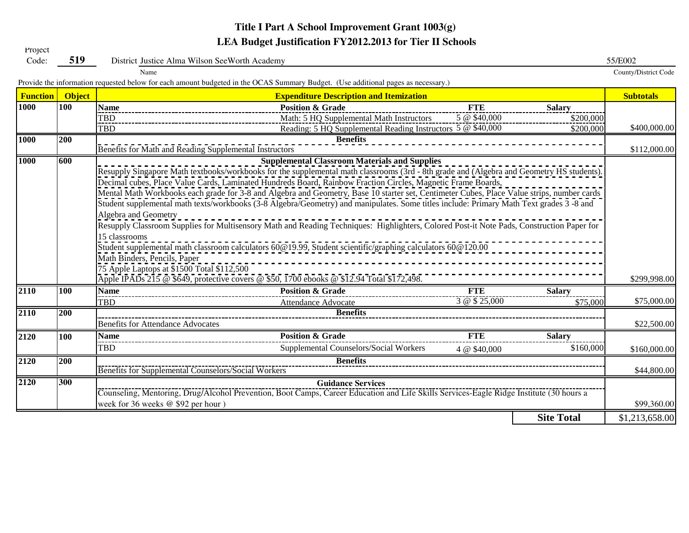# **Title I Part A School Improvement Grant 1003(g) LEA Budget Justification FY2012.2013 for Tier II Schools**

| Code:             | 519              | District Justice Alma Wilson SeeWorth Academy                                                                                                                                                                                                                                                                                                                                                          |                   | 55/E002              |  |  |  |  |  |  |  |  |
|-------------------|------------------|--------------------------------------------------------------------------------------------------------------------------------------------------------------------------------------------------------------------------------------------------------------------------------------------------------------------------------------------------------------------------------------------------------|-------------------|----------------------|--|--|--|--|--|--|--|--|
|                   |                  | Name                                                                                                                                                                                                                                                                                                                                                                                                   |                   | County/District Code |  |  |  |  |  |  |  |  |
|                   |                  | Provide the information requested below for each amount budgeted in the OCAS Summary Budget. (Use additional pages as necessary.)                                                                                                                                                                                                                                                                      |                   |                      |  |  |  |  |  |  |  |  |
| <b>Function</b>   | <b>Object</b>    | <b>Expenditure Description and Itemization</b>                                                                                                                                                                                                                                                                                                                                                         |                   | <b>Subtotals</b>     |  |  |  |  |  |  |  |  |
| 1000              | 100              | <b>Name</b><br><b>Position &amp; Grade</b><br><b>FTE</b>                                                                                                                                                                                                                                                                                                                                               | <b>Salary</b>     |                      |  |  |  |  |  |  |  |  |
|                   |                  | 5 @ \$40,000<br>Math: 5 HQ Supplemental Math Instructors<br>TBD                                                                                                                                                                                                                                                                                                                                        | \$200,000         |                      |  |  |  |  |  |  |  |  |
|                   |                  | Reading: 5 HQ Supplemental Reading Instructors 5 @ \$40,000<br><b>TBD</b>                                                                                                                                                                                                                                                                                                                              | \$200,000         | \$400,000.00         |  |  |  |  |  |  |  |  |
| <b>1000</b>       | $\overline{200}$ | <b>Benefits</b><br>Benefits for Math and Reading Supplemental Instructors                                                                                                                                                                                                                                                                                                                              |                   | \$112,000.00         |  |  |  |  |  |  |  |  |
| <b>1000</b>       | 600              | <b>Supplemental Classroom Materials and Supplies</b><br>Resupply Singapore Math textbooks/workbooks for the supplemental math classrooms (3rd - 8th grade and (Algebra and Geometry HS students).                                                                                                                                                                                                      |                   |                      |  |  |  |  |  |  |  |  |
|                   |                  | Decimal cubes, Place Value Cards, Laminated Hundreds Board, Rainbow Fraction Circles, Magnetic Frame Boards,<br>Mental Math Workbooks each grade for 3-8 and Algebra and Geometry, Base 10 starter set, Centimeter Cubes, Place Value strips, number cards<br>Student supplemental math texts/workbooks (3-8 Algebra/Geometry) and manipulates. Some titles include: Primary Math Text grades 3 -8 and |                   |                      |  |  |  |  |  |  |  |  |
|                   |                  | Algebra and Geometry<br>Resupply Classroom Supplies for Multisensory Math and Reading Techniques: Highlighters, Colored Post-it Note Pads, Construction Paper for                                                                                                                                                                                                                                      |                   |                      |  |  |  |  |  |  |  |  |
|                   |                  | 15 classrooms                                                                                                                                                                                                                                                                                                                                                                                          |                   |                      |  |  |  |  |  |  |  |  |
|                   |                  | Student supplemental math classroom calculators 60@19.99, Student scientific/graphing calculators 60@120.00                                                                                                                                                                                                                                                                                            |                   |                      |  |  |  |  |  |  |  |  |
|                   |                  | Math Binders, Pencils, Paper<br>75 Apple Laptops at \$1500 Total \$112,500<br>Apple IPADs 215 @ \$649, protective covers @ \$50, 1700 ebooks @ \$12.94 Total \$172,498.                                                                                                                                                                                                                                |                   |                      |  |  |  |  |  |  |  |  |
| $\overline{2110}$ | 100              | <b>FTE</b><br><b>Position &amp; Grade</b><br><b>Name</b>                                                                                                                                                                                                                                                                                                                                               | <b>Salary</b>     | \$299,998.00         |  |  |  |  |  |  |  |  |
|                   |                  | 3 @ \$ 25,000<br><b>TBD</b><br>Attendance Advocate                                                                                                                                                                                                                                                                                                                                                     | \$75,000          | \$75,000.00          |  |  |  |  |  |  |  |  |
| 2110              | 200              | <b>Benefits</b>                                                                                                                                                                                                                                                                                                                                                                                        |                   |                      |  |  |  |  |  |  |  |  |
|                   |                  | <b>Benefits for Attendance Advocates</b>                                                                                                                                                                                                                                                                                                                                                               |                   | \$22,500.00          |  |  |  |  |  |  |  |  |
| 2120              | 100              | <b>Position &amp; Grade</b><br><b>FTE</b><br><b>Name</b>                                                                                                                                                                                                                                                                                                                                               | <b>Salary</b>     |                      |  |  |  |  |  |  |  |  |
|                   |                  | Supplemental Counselors/Social Workers<br><b>TBD</b><br>4 @ \$40,000                                                                                                                                                                                                                                                                                                                                   | \$160,000         | \$160,000.00         |  |  |  |  |  |  |  |  |
| 2120              | 200              | <b>Benefits</b>                                                                                                                                                                                                                                                                                                                                                                                        |                   |                      |  |  |  |  |  |  |  |  |
|                   |                  | Benefits for Supplemental Counselors/Social Workers                                                                                                                                                                                                                                                                                                                                                    |                   | \$44,800.00          |  |  |  |  |  |  |  |  |
| 2120              | 300              | <b>Guidance Services</b>                                                                                                                                                                                                                                                                                                                                                                               |                   |                      |  |  |  |  |  |  |  |  |
|                   |                  | Counseling, Mentoring, Drug/Alcohol Prevention, Boot Camps, Career Education and Life Skills Services-Eagle Ridge Institute (30 hours a<br>week for 36 weeks @ \$92 per hour)                                                                                                                                                                                                                          |                   | \$99,360.00          |  |  |  |  |  |  |  |  |
|                   |                  |                                                                                                                                                                                                                                                                                                                                                                                                        | <b>Site Total</b> | \$1,213,658.00       |  |  |  |  |  |  |  |  |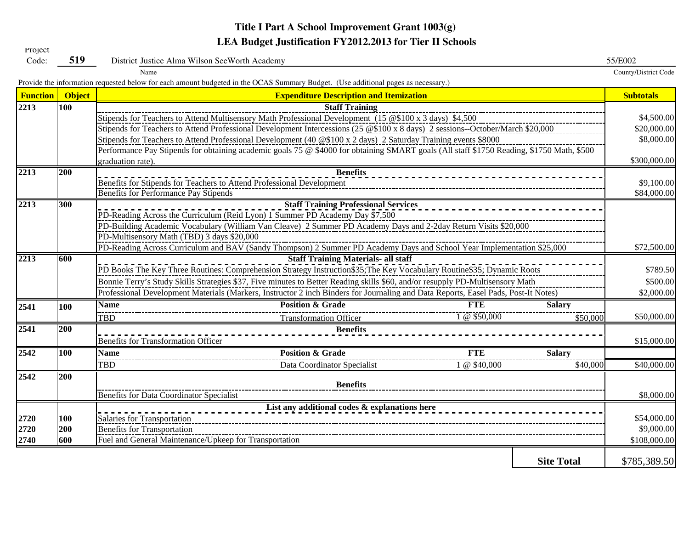# **Title I Part A School Improvement Grant 1003(g) LEA Budget Justification FY2012.2013 for Tier II Schools**<br>Code: 519 District Justice Alma Wilson SeeWorth Academy

| Code:           | 519           | 55/E002<br>District Justice Alma Wilson SeeWorth Academy                                                                                  |                      |  |  |  |  |  |  |  |  |  |  |
|-----------------|---------------|-------------------------------------------------------------------------------------------------------------------------------------------|----------------------|--|--|--|--|--|--|--|--|--|--|
|                 |               | Name                                                                                                                                      | County/District Code |  |  |  |  |  |  |  |  |  |  |
|                 |               | Provide the information requested below for each amount budgeted in the OCAS Summary Budget. (Use additional pages as necessary.)         |                      |  |  |  |  |  |  |  |  |  |  |
| <b>Function</b> | <b>Object</b> | <b>Expenditure Description and Itemization</b>                                                                                            | <b>Subtotals</b>     |  |  |  |  |  |  |  |  |  |  |
| 2213            | 100           | <b>Staff Training</b>                                                                                                                     |                      |  |  |  |  |  |  |  |  |  |  |
|                 |               | Stipends for Teachers to Attend Multisensory Math Professional Development (15 $@100 x 3 days$ ) \$4,500                                  | \$4,500.00           |  |  |  |  |  |  |  |  |  |  |
|                 |               | Stipends for Teachers to Attend Professional Development Intercessions (25 @\$100 x 8 days) 2 sessions--October/March \$20,000            |                      |  |  |  |  |  |  |  |  |  |  |
|                 |               | Stipends for Teachers to Attend Professional Development (40 @\$100 x 2 days) 2 Saturday Training events \$8000                           | \$8,000.00           |  |  |  |  |  |  |  |  |  |  |
|                 |               | Performance Pay Stipends for obtaining academic goals 75 @ \$4000 for obtaining SMART goals (All staff \$1750 Reading, \$1750 Math, \$500 |                      |  |  |  |  |  |  |  |  |  |  |
|                 |               | graduation rate).                                                                                                                         | \$300,000.00         |  |  |  |  |  |  |  |  |  |  |
| 2213            | 200           | <b>Benefits</b>                                                                                                                           |                      |  |  |  |  |  |  |  |  |  |  |
|                 |               | Benefits for Stipends for Teachers to Attend Professional Development                                                                     |                      |  |  |  |  |  |  |  |  |  |  |
|                 |               | Benefits for Performance Pay Stipends                                                                                                     |                      |  |  |  |  |  |  |  |  |  |  |
| 2213            | 300           | <b>Staff Training Professional Services</b>                                                                                               |                      |  |  |  |  |  |  |  |  |  |  |
|                 |               | PD-Reading Across the Curriculum (Reid Lyon) 1 Summer PD Academy Day \$7,500                                                              |                      |  |  |  |  |  |  |  |  |  |  |
|                 |               | PD-Building Academic Vocabulary (William Van Cleave) 2 Summer PD Academy Days and 2-2day Return Visits \$20,000                           |                      |  |  |  |  |  |  |  |  |  |  |
|                 |               | PD-Multisensory Math (TBD) 3 days \$20,000                                                                                                |                      |  |  |  |  |  |  |  |  |  |  |
|                 |               | PD-Reading Across Curriculum and BAV (Sandy Thompson) 2 Summer PD Academy Days and School Year Implementation \$25,000                    | \$72,500.00          |  |  |  |  |  |  |  |  |  |  |
| 2213            | 600           | <b>Staff Training Materials- all staff</b>                                                                                                | \$789.50             |  |  |  |  |  |  |  |  |  |  |
|                 |               | PD Books The Key Three Routines: Comprehension Strategy Instruction\$35; The Key Vocabulary Routine\$35; Dynamic Roots                    |                      |  |  |  |  |  |  |  |  |  |  |
|                 |               | Bonnie Terry's Study Skills Strategies \$37, Five minutes to Better Reading skills \$60, and/or resupply PD-Multisensory Math             | \$500.00             |  |  |  |  |  |  |  |  |  |  |
|                 |               | Professional Development Materials (Markers, Instructor 2 inch Binders for Journaling and Data Reports, Easel Pads, Post-It Notes)        |                      |  |  |  |  |  |  |  |  |  |  |
| 2541            | 100           | <b>Position &amp; Grade</b><br><b>FTE</b><br><b>Name</b><br><b>Salary</b>                                                                 |                      |  |  |  |  |  |  |  |  |  |  |
|                 |               | 1 @ \$50,000<br><b>TBD</b><br><b>Transformation Officer</b><br>\$50,000                                                                   | \$50,000.00          |  |  |  |  |  |  |  |  |  |  |
| 2541            | 200           | <b>Benefits</b>                                                                                                                           |                      |  |  |  |  |  |  |  |  |  |  |
|                 |               | <b>Benefits for Transformation Officer</b>                                                                                                | \$15,000.00          |  |  |  |  |  |  |  |  |  |  |
| 2542            | <b>100</b>    | <b>Position &amp; Grade</b><br><b>FTE</b><br><b>Name</b><br><b>Salary</b>                                                                 |                      |  |  |  |  |  |  |  |  |  |  |
|                 |               | <b>TBD</b><br>1 @ \$40,000<br>\$40,000<br>Data Coordinator Specialist                                                                     | \$40,000.00          |  |  |  |  |  |  |  |  |  |  |
| 2542            | 200           |                                                                                                                                           |                      |  |  |  |  |  |  |  |  |  |  |
|                 |               | <b>Benefits</b>                                                                                                                           |                      |  |  |  |  |  |  |  |  |  |  |
|                 |               | Benefits for Data Coordinator Specialist                                                                                                  | \$8,000.00           |  |  |  |  |  |  |  |  |  |  |
|                 |               | List any additional codes & explanations here                                                                                             |                      |  |  |  |  |  |  |  |  |  |  |
| 2720            | 100           | Salaries for Transportation                                                                                                               | \$54,000.00          |  |  |  |  |  |  |  |  |  |  |
| 2720            | 200           | <b>Benefits for Transportation</b>                                                                                                        | \$9,000.00           |  |  |  |  |  |  |  |  |  |  |
| 2740            | 600           | Fuel and General Maintenance/Upkeep for Transportation                                                                                    | \$108,000.00         |  |  |  |  |  |  |  |  |  |  |
|                 |               |                                                                                                                                           |                      |  |  |  |  |  |  |  |  |  |  |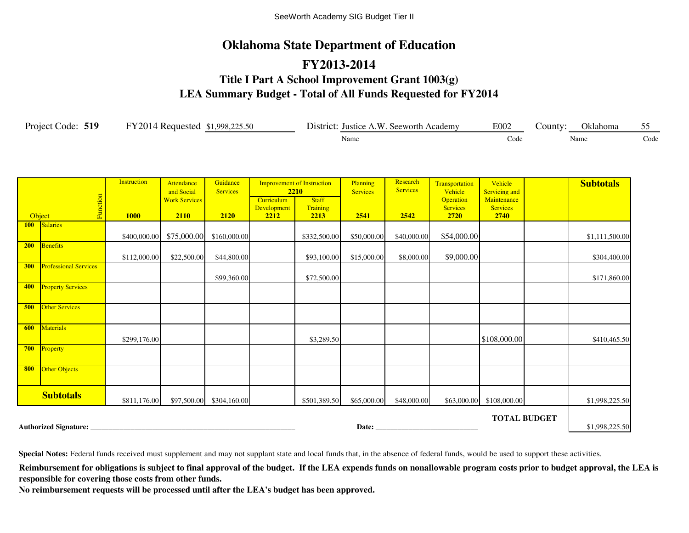## **Oklahoma State Department of Education**

## **FY2013-2014 Title I Part A School Improvement Grant 1003(g) LEA Summary Budget - Total of All Funds Requested for FY2014**

| Project Code: 519 | FY2014 Requested \$1,998,225.50 | District: Justice A.W. Seeworth Academy | E002 | County: | Oklahoma |      |  |
|-------------------|---------------------------------|-----------------------------------------|------|---------|----------|------|--|
|                   |                                 | Name                                    | Code | Name    |          | Code |  |

|     |                              | <b>Instruction</b> | Attendance<br>and Social | Guidance<br><b>Services</b> | <b>Improvement of Instruction</b><br><b>2210</b> |                  | Planning<br><b>Services</b> | Research<br><b>Services</b> | Transportation<br>Vehicle | Vehicle<br><b>Servicing and</b> |                     | <b>Subtotals</b> |
|-----|------------------------------|--------------------|--------------------------|-----------------------------|--------------------------------------------------|------------------|-----------------------------|-----------------------------|---------------------------|---------------------------------|---------------------|------------------|
|     |                              |                    | <b>Work Services</b>     |                             | Curriculum                                       | <b>Staff</b>     |                             |                             | <b>Operation</b>          | Maintenance                     |                     |                  |
|     | Function<br>Object           | <b>1000</b>        | 2110                     | 2120                        | <b>Development</b><br>2212                       | Training<br>2213 | 2541                        | 2542                        | <b>Services</b><br>2720   | <b>Services</b><br><b>2740</b>  |                     |                  |
|     | 100 Salaries                 |                    |                          |                             |                                                  |                  |                             |                             |                           |                                 |                     |                  |
|     |                              | \$400,000.00       | \$75,000.00              | \$160,000.00                |                                                  | \$332,500.00     | \$50,000.00                 | \$40,000.00                 | \$54,000.00               |                                 |                     | \$1,111,500.00   |
| 200 | Benefits                     | \$112,000.00       | \$22,500.00              | \$44,800.00                 |                                                  | \$93,100.00      | \$15,000.00                 | \$8,000.00                  | \$9,000.00                |                                 |                     | \$304,400.00     |
| 300 | <b>Professional Services</b> |                    |                          | \$99,360.00                 |                                                  | \$72,500.00      |                             |                             |                           |                                 |                     | \$171,860.00     |
| 400 | <b>Property Services</b>     |                    |                          |                             |                                                  |                  |                             |                             |                           |                                 |                     |                  |
| 500 | <b>Other Services</b>        |                    |                          |                             |                                                  |                  |                             |                             |                           |                                 |                     |                  |
| 600 | Materials                    | \$299,176.00       |                          |                             |                                                  | \$3,289.50       |                             |                             |                           | \$108,000.00                    |                     | \$410,465.50     |
| 700 | Property                     |                    |                          |                             |                                                  |                  |                             |                             |                           |                                 |                     |                  |
| 800 | <b>Other Objects</b>         |                    |                          |                             |                                                  |                  |                             |                             |                           |                                 |                     |                  |
|     | <b>Subtotals</b>             | \$811,176.00       |                          | \$97,500.00 \$304,160.00    |                                                  | \$501,389.50     | \$65,000.00                 | \$48,000.00                 | \$63,000.00               | \$108,000.00                    |                     | \$1,998,225.50   |
|     | Authorized Signature:        |                    |                          |                             |                                                  |                  |                             |                             |                           |                                 | <b>TOTAL BUDGET</b> | \$1,998,225.50   |

**Special Notes:** Federal funds received must supplement and may not supplant state and local funds that, in the absence of federal funds, would be used to support these activities.

Reimbursement for obligations is subject to final approval of the budget. If the LEA expends funds on nonallowable program costs prior to budget approval, the LEA is **responsible for covering those costs from other funds.**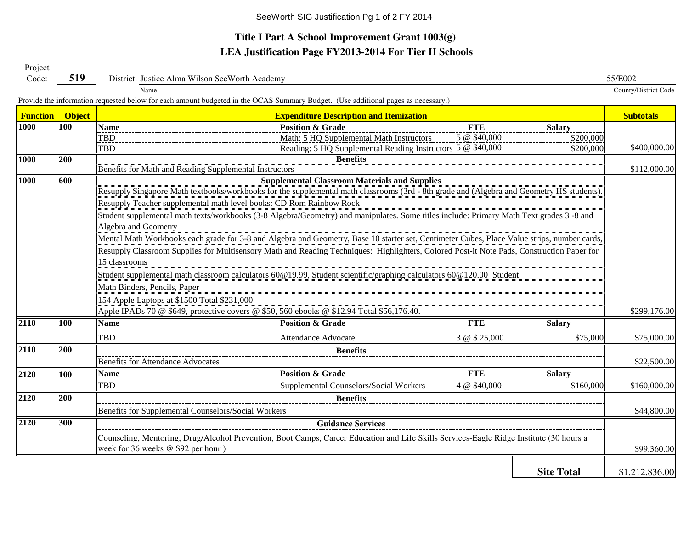#### **Title I Part A School Improvement Grant 1003(g) LEA Justification Page FY2013-2014 For Tier II Schools**

Project Code:

**519** District: Justice Alma Wilson SeeWorth Academy 55/E002

Name

County/District Code

Provide the information requested below for each amount budgeted in the OCAS Summary Budget. (Use additional pages as necessary.)

| <b>Function</b> | <b>Object</b>                                                                                                                                                                                            |                                                                                                                                                                                                                 | <b>Expenditure Description and Itemization</b>                                                                                              |               |                   | <b>Subtotals</b> |  |  |  |  |  |  |  |
|-----------------|----------------------------------------------------------------------------------------------------------------------------------------------------------------------------------------------------------|-----------------------------------------------------------------------------------------------------------------------------------------------------------------------------------------------------------------|---------------------------------------------------------------------------------------------------------------------------------------------|---------------|-------------------|------------------|--|--|--|--|--|--|--|
| 1000            | 100                                                                                                                                                                                                      | <b>Name</b>                                                                                                                                                                                                     | <b>Position &amp; Grade</b>                                                                                                                 | <b>FTE</b>    | <b>Salary</b>     |                  |  |  |  |  |  |  |  |
|                 |                                                                                                                                                                                                          | 5 @ \$40,000<br>Math: 5 HQ Supplemental Math Instructors<br>\$200,000<br>TBD_                                                                                                                                   |                                                                                                                                             |               |                   |                  |  |  |  |  |  |  |  |
|                 |                                                                                                                                                                                                          | Reading: 5 HQ Supplemental Reading Instructors 5 @ \$40,000<br><b>TBD</b><br>\$200,000                                                                                                                          |                                                                                                                                             |               |                   |                  |  |  |  |  |  |  |  |
| 1000            | 200                                                                                                                                                                                                      | <b>Benefits</b><br>Benefits for Math and Reading Supplemental Instructors                                                                                                                                       |                                                                                                                                             |               |                   |                  |  |  |  |  |  |  |  |
| <b>1000</b>     | 600<br><b>Supplemental Classroom Materials and Supplies</b><br>Resupply Singapore Math textbooks/workbooks for the supplemental math classrooms (3rd - 8th grade and (Algebra and Geometry HS students). |                                                                                                                                                                                                                 |                                                                                                                                             |               |                   |                  |  |  |  |  |  |  |  |
|                 |                                                                                                                                                                                                          |                                                                                                                                                                                                                 |                                                                                                                                             |               |                   |                  |  |  |  |  |  |  |  |
|                 |                                                                                                                                                                                                          | Resupply Teacher supplemental math level books: CD Rom Rainbow Rock<br>Student supplemental math texts/workbooks (3-8 Algebra/Geometry) and manipulates. Some titles include: Primary Math Text grades 3 -8 and |                                                                                                                                             |               |                   |                  |  |  |  |  |  |  |  |
|                 |                                                                                                                                                                                                          |                                                                                                                                                                                                                 |                                                                                                                                             |               |                   |                  |  |  |  |  |  |  |  |
|                 |                                                                                                                                                                                                          | Algebra and Geometry                                                                                                                                                                                            |                                                                                                                                             |               |                   |                  |  |  |  |  |  |  |  |
|                 |                                                                                                                                                                                                          |                                                                                                                                                                                                                 | Mental Math Workbooks each grade for 3-8 and Algebra and Geometry, Base 10 starter set, Centimeter Cubes, Place Value strips, number cards, |               |                   |                  |  |  |  |  |  |  |  |
|                 |                                                                                                                                                                                                          |                                                                                                                                                                                                                 | Resupply Classroom Supplies for Multisensory Math and Reading Techniques: Highlighters, Colored Post-it Note Pads, Construction Paper for   |               |                   |                  |  |  |  |  |  |  |  |
|                 |                                                                                                                                                                                                          | 15 classrooms                                                                                                                                                                                                   |                                                                                                                                             |               |                   |                  |  |  |  |  |  |  |  |
|                 |                                                                                                                                                                                                          |                                                                                                                                                                                                                 | Student supplemental math classroom calculators 60@19.99, Student scientific/graphing calculators 60@120.00 Student                         |               |                   |                  |  |  |  |  |  |  |  |
|                 |                                                                                                                                                                                                          | Math Binders, Pencils, Paper<br>154 Apple Laptops at \$1500 Total \$231,000                                                                                                                                     |                                                                                                                                             |               |                   |                  |  |  |  |  |  |  |  |
|                 |                                                                                                                                                                                                          |                                                                                                                                                                                                                 |                                                                                                                                             |               |                   |                  |  |  |  |  |  |  |  |
|                 |                                                                                                                                                                                                          |                                                                                                                                                                                                                 | Apple IPADs 70 @ \$649, protective covers @ \$50, 560 ebooks @ \$12.94 Total \$56,176.40.                                                   |               |                   | \$299,176.00     |  |  |  |  |  |  |  |
| 2110            | 100                                                                                                                                                                                                      | <b>Name</b>                                                                                                                                                                                                     | <b>Position &amp; Grade</b>                                                                                                                 | <b>FTE</b>    | <b>Salary</b>     |                  |  |  |  |  |  |  |  |
|                 |                                                                                                                                                                                                          | <b>TBD</b>                                                                                                                                                                                                      | Attendance Advocate                                                                                                                         | 3 @ \$ 25,000 | \$75,000          | \$75,000.00      |  |  |  |  |  |  |  |
| 2110            | 200                                                                                                                                                                                                      |                                                                                                                                                                                                                 | <b>Benefits</b>                                                                                                                             |               |                   |                  |  |  |  |  |  |  |  |
|                 |                                                                                                                                                                                                          | <b>Benefits for Attendance Advocates</b>                                                                                                                                                                        |                                                                                                                                             |               |                   | \$22,500.00      |  |  |  |  |  |  |  |
| 2120            | 100                                                                                                                                                                                                      | <b>Name</b>                                                                                                                                                                                                     | <b>Position &amp; Grade</b>                                                                                                                 | <b>FTE</b>    | <b>Salary</b>     |                  |  |  |  |  |  |  |  |
|                 |                                                                                                                                                                                                          | TBD                                                                                                                                                                                                             | Supplemental Counselors/Social Workers                                                                                                      | 4 @ \$40,000  | \$160,000         | \$160,000.00     |  |  |  |  |  |  |  |
| 2120            | 200                                                                                                                                                                                                      | <b>Benefits</b>                                                                                                                                                                                                 |                                                                                                                                             |               |                   |                  |  |  |  |  |  |  |  |
|                 |                                                                                                                                                                                                          | Benefits for Supplemental Counselors/Social Workers                                                                                                                                                             |                                                                                                                                             |               |                   |                  |  |  |  |  |  |  |  |
| 2120            | 300                                                                                                                                                                                                      |                                                                                                                                                                                                                 | <b>Guidance Services</b>                                                                                                                    |               |                   |                  |  |  |  |  |  |  |  |
|                 |                                                                                                                                                                                                          | Counseling, Mentoring, Drug/Alcohol Prevention, Boot Camps, Career Education and Life Skills Services-Eagle Ridge Institute (30 hours a                                                                         |                                                                                                                                             |               |                   |                  |  |  |  |  |  |  |  |
|                 |                                                                                                                                                                                                          |                                                                                                                                                                                                                 | \$99,360.00                                                                                                                                 |               |                   |                  |  |  |  |  |  |  |  |
|                 |                                                                                                                                                                                                          |                                                                                                                                                                                                                 |                                                                                                                                             |               |                   |                  |  |  |  |  |  |  |  |
|                 |                                                                                                                                                                                                          |                                                                                                                                                                                                                 |                                                                                                                                             |               | <b>Site Total</b> | \$1,212,836.00   |  |  |  |  |  |  |  |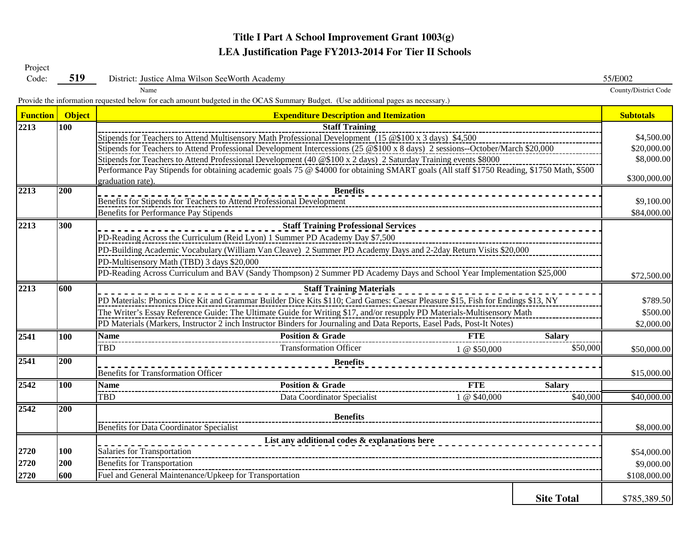#### **Title I Part A School Improvement Grant 1003(g) LEA Justification Page FY2013-2014 For Tier II Schools**

| Code:           | 519                                                                                                                    | District: Justice Alma Wilson SeeWorth Academy                                                                                            | 55/E002                   |  |  |  |  |  |  |  |  |  |  |  |
|-----------------|------------------------------------------------------------------------------------------------------------------------|-------------------------------------------------------------------------------------------------------------------------------------------|---------------------------|--|--|--|--|--|--|--|--|--|--|--|
|                 |                                                                                                                        | Name                                                                                                                                      | County/District Code      |  |  |  |  |  |  |  |  |  |  |  |
|                 |                                                                                                                        | Provide the information requested below for each amount budgeted in the OCAS Summary Budget. (Use additional pages as necessary.)         |                           |  |  |  |  |  |  |  |  |  |  |  |
| <b>Function</b> | <b>Object</b>                                                                                                          | <b>Expenditure Description and Itemization</b>                                                                                            | <b>Subtotals</b>          |  |  |  |  |  |  |  |  |  |  |  |
| 2213            | 100                                                                                                                    | <b>Staff Training</b>                                                                                                                     |                           |  |  |  |  |  |  |  |  |  |  |  |
|                 |                                                                                                                        | Stipends for Teachers to Attend Multisensory Math Professional Development (15 @\$100 x 3 days) \$4,500                                   | \$4,500.00                |  |  |  |  |  |  |  |  |  |  |  |
|                 |                                                                                                                        | Stipends for Teachers to Attend Professional Development Intercessions (25 @\$100 x 8 days) 2 sessions--October/March \$20,000            | \$20,000.00               |  |  |  |  |  |  |  |  |  |  |  |
|                 |                                                                                                                        | Stipends for Teachers to Attend Professional Development (40 @\$100 x 2 days) 2 Saturday Training events \$8000                           | \$8,000.00                |  |  |  |  |  |  |  |  |  |  |  |
|                 |                                                                                                                        | Performance Pay Stipends for obtaining academic goals 75 @ \$4000 for obtaining SMART goals (All staff \$1750 Reading, \$1750 Math, \$500 | \$300,000.00              |  |  |  |  |  |  |  |  |  |  |  |
|                 |                                                                                                                        | graduation rate).                                                                                                                         |                           |  |  |  |  |  |  |  |  |  |  |  |
| 2213            | 200                                                                                                                    | <b>Benefits</b><br>Benefits for Stipends for Teachers to Attend Professional Development                                                  |                           |  |  |  |  |  |  |  |  |  |  |  |
|                 |                                                                                                                        | <b>Benefits for Performance Pay Stipends</b>                                                                                              | \$9,100.00<br>\$84,000.00 |  |  |  |  |  |  |  |  |  |  |  |
| 2213            | 300                                                                                                                    |                                                                                                                                           |                           |  |  |  |  |  |  |  |  |  |  |  |
|                 |                                                                                                                        | <b>Staff Training Professional Services</b>                                                                                               |                           |  |  |  |  |  |  |  |  |  |  |  |
|                 |                                                                                                                        | PD-Reading Across the Curriculum (Reid Lyon) 1 Summer PD Academy Day \$7,500                                                              |                           |  |  |  |  |  |  |  |  |  |  |  |
|                 |                                                                                                                        | PD-Building Academic Vocabulary (William Van Cleave) 2 Summer PD Academy Days and 2-2day Return Visits \$20,000                           |                           |  |  |  |  |  |  |  |  |  |  |  |
|                 |                                                                                                                        | PD-Multisensory Math (TBD) 3 days \$20,000                                                                                                |                           |  |  |  |  |  |  |  |  |  |  |  |
|                 | PD-Reading Across Curriculum and BAV (Sandy Thompson) 2 Summer PD Academy Days and School Year Implementation \$25,000 |                                                                                                                                           |                           |  |  |  |  |  |  |  |  |  |  |  |
| 2213            | 600                                                                                                                    |                                                                                                                                           |                           |  |  |  |  |  |  |  |  |  |  |  |
|                 |                                                                                                                        | PD Materials: Phonics Dice Kit and Grammar Builder Dice Kits \$110; Card Games: Caesar Pleasure \$15, Fish for Endings \$13, NY           |                           |  |  |  |  |  |  |  |  |  |  |  |
|                 |                                                                                                                        | The Writer's Essay Reference Guide: The Ultimate Guide for Writing \$17, and/or resupply PD Materials-Multisensory Math                   |                           |  |  |  |  |  |  |  |  |  |  |  |
|                 |                                                                                                                        | PD Materials (Markers, Instructor 2 inch Instructor Binders for Journaling and Data Reports, Easel Pads, Post-It Notes)                   |                           |  |  |  |  |  |  |  |  |  |  |  |
| 2541            | 100                                                                                                                    | <b>Position &amp; Grade</b><br><b>FTE</b><br><b>Name</b><br><b>Salary</b>                                                                 |                           |  |  |  |  |  |  |  |  |  |  |  |
|                 |                                                                                                                        | TBD<br><b>Transformation Officer</b><br>\$50,000<br>1 @ \$50,000                                                                          | \$50,000.00               |  |  |  |  |  |  |  |  |  |  |  |
| 2541            | $\overline{200}$                                                                                                       | <b>Benefits</b>                                                                                                                           |                           |  |  |  |  |  |  |  |  |  |  |  |
|                 |                                                                                                                        | Benefits for Transformation Officer                                                                                                       | \$15,000.00               |  |  |  |  |  |  |  |  |  |  |  |
| 2542            | <b>100</b>                                                                                                             | <b>Position &amp; Grade</b><br><b>FTE</b><br><b>Name</b><br><b>Salary</b>                                                                 |                           |  |  |  |  |  |  |  |  |  |  |  |
|                 |                                                                                                                        | <b>TBD</b><br>\$40,000<br>1 @ \$40,000<br>Data Coordinator Specialist                                                                     | \$40,000.00               |  |  |  |  |  |  |  |  |  |  |  |
| 2542            | 200                                                                                                                    |                                                                                                                                           |                           |  |  |  |  |  |  |  |  |  |  |  |
|                 |                                                                                                                        | <b>Benefits</b>                                                                                                                           |                           |  |  |  |  |  |  |  |  |  |  |  |
|                 |                                                                                                                        | <b>Benefits for Data Coordinator Specialist</b>                                                                                           | \$8,000.00                |  |  |  |  |  |  |  |  |  |  |  |
|                 |                                                                                                                        | List any additional codes & explanations here                                                                                             |                           |  |  |  |  |  |  |  |  |  |  |  |
| 2720            | 100                                                                                                                    | Salaries for Transportation                                                                                                               | \$54,000.00               |  |  |  |  |  |  |  |  |  |  |  |
| 2720            | 200                                                                                                                    | <b>Benefits for Transportation</b>                                                                                                        | \$9,000.00                |  |  |  |  |  |  |  |  |  |  |  |
| 2720            | 600                                                                                                                    | Fuel and General Maintenance/Upkeep for Transportation                                                                                    | \$108,000.00              |  |  |  |  |  |  |  |  |  |  |  |

**Site Total** \$785,389.50

Project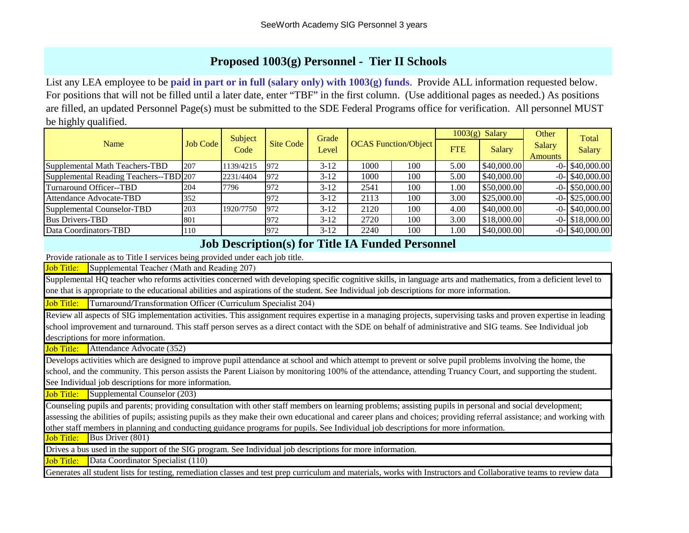#### **Proposed 1003(g) Personnel - Tier II Schools**

List any LEA employee to be **paid in part or in full (salary only) with 1003(g) funds**. Provide ALL information requested below. For positions that will not be filled until a later date, enter "TBF" in the first column. (Use additional pages as needed.) As positions are filled, an updated Personnel Page(s) must be submitted to the SDE Federal Programs office for verification. All personnel MUST be highly qualified.

|                                        |          | Subject<br>Code | Site Code | Grade<br>Level | <b>OCAS</b> Function/Object |     | $1003(g)$ Salary |             | Other                           | Total              |
|----------------------------------------|----------|-----------------|-----------|----------------|-----------------------------|-----|------------------|-------------|---------------------------------|--------------------|
| Name                                   | Job Code |                 |           |                |                             |     | <b>FTE</b>       | Salary      | <b>Salary</b><br><b>Amounts</b> | <b>Salary</b>      |
| Supplemental Math Teachers-TBD         | 207      | 1139/4215       | 972       | $3-12$         | 1000                        | 100 | 5.00             | \$40,000.00 |                                 | $-0$ - \$40,000.00 |
| Supplemental Reading Teachers--TBD 207 |          | 2231/4404       | 972       | $3-12$         | 1000                        | 100 | 5.00             | \$40,000.00 |                                 | $-0$ - \$40,000.00 |
| Turnaround Officer--TBD                | 204      | 7796            | 972       | $3-12$         | 2541                        | 100 | 1.00             | \$50,000.00 |                                 | $-0$ - \$50,000.00 |
| Attendance Advocate-TBD                | 352      |                 | 972       | $3-12$         | 2113                        | 100 | 3.00             | \$25,000.00 |                                 | $-0$ - \$25,000.00 |
| Supplemental Counselor-TBD             | 203      | 1920/7750       | 972       | $3-12$         | 2120                        | 100 | 4.00             | \$40,000.00 |                                 | $-0$ - \$40,000.00 |
| <b>Bus Drivers-TBD</b>                 | 801      |                 | 972       | $3-12$         | 2720                        | 100 | 3.00             | \$18,000.00 |                                 | $-0$ - \$18,000.00 |
| Data Coordinators-TBD                  | 110      |                 | 972       | $3-12$         | 2240                        | 100 | $1.00\,$         | \$40,000.00 |                                 | $-0$ - \$40,000.00 |

#### **Job Description(s) for Title IA Funded Personnel**

Provide rationale as to Title I services being provided under each job title.

Job Title: Supplemental Teacher (Math and Reading 207)

Supplemental HQ teacher who reforms activities concerned with developing specific cognitive skills, in language arts and mathematics, from a deficient level to one that is appropriate to the educational abilities and aspirations of the student. See Individual job descriptions for more information.

Job Title: Turnaround/Transformation Officer (Curriculum Specialist 204)

Review all aspects of SIG implementation activities. This assignment requires expertise in a managing projects, supervising tasks and proven expertise in leading school improvement and turnaround. This staff person serves as a direct contact with the SDE on behalf of administrative and SIG teams. See Individual job descriptions for more information.

Job Title: Attendance Advocate (352)

Develops activities which are designed to improve pupil attendance at school and which attempt to prevent or solve pupil problems involving the home, the school, and the community. This person assists the Parent Liaison by monitoring 100% of the attendance, attending Truancy Court, and supporting the student. See Individual job descriptions for more information.

**Job Title:** Supplemental Counselor (203)

Counseling pupils and parents; providing consultation with other staff members on learning problems; assisting pupils in personal and social development; assessing the abilities of pupils; assisting pupils as they make their own educational and career plans and choices; providing referral assistance; and working with other staff members in planning and conducting guidance programs for pupils. See Individual job descriptions for more information.

**Job Title:** Bus Driver (801)

Drives a bus used in the support of the SIG program. See Individual job descriptions for more information.

Job Title: Data Coordinator Specialist (110)

Generates all student lists for testing, remediation classes and test prep curriculum and materials, works with Instructors and Collaborative teams to review data